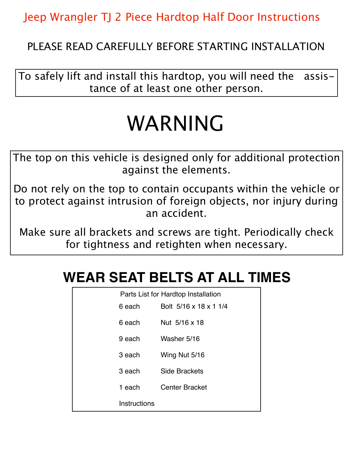Jeep Wrangler TJ 2 Piece Hardtop Half Door Instructions

PLEASE READ CAREFULLY BEFORE STARTING INSTALLATION

To safely lift and install this hardtop, you will need the assistance of at least one other person.

## WARNING

The top on this vehicle is designed only for additional protection against the elements.

Do not rely on the top to contain occupants within the vehicle or to protect against intrusion of foreign objects, nor injury during an accident.

Make sure all brackets and screws are tight. Periodically check for tightness and retighten when necessary.

| WEAR SEAT BELTS AT ALL TIMES |  |  |  |
|------------------------------|--|--|--|
|------------------------------|--|--|--|

| Parts List for Hardtop Installation |                        |  |
|-------------------------------------|------------------------|--|
| 6 each                              | Bolt 5/16 x 18 x 1 1/4 |  |
| 6 each                              | Nut 5/16 x 18          |  |
| 9 each                              | Washer 5/16            |  |
| 3 each                              | Wing Nut 5/16          |  |
| 3 each                              | Side Brackets          |  |
| 1 each                              | <b>Center Bracket</b>  |  |
| Instructions                        |                        |  |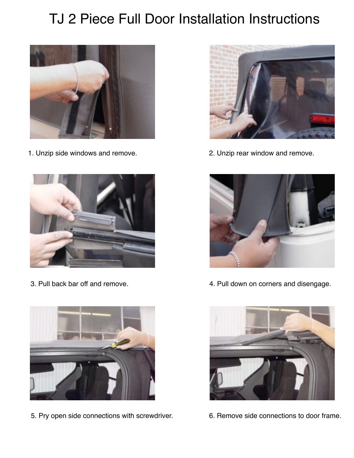## TJ 2 Piece Full Door Installation Instructions



1. Unzip side windows and remove. 2. Unzip rear window and remove.





5. Pry open side connections with screwdriver. 6. Remove side connections to door frame.





3. Pull back bar off and remove.  $\overline{a}$  4. Pull down on corners and disengage.

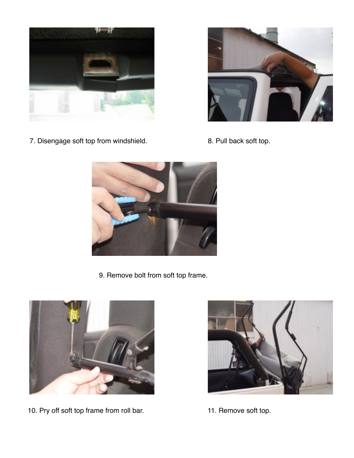

7. Disengage soft top from windshield. 8. Pull back soft top.





9. Remove bolt from soft top frame.



10. Pry off soft top frame from roll bar. 11. Remove soft top.

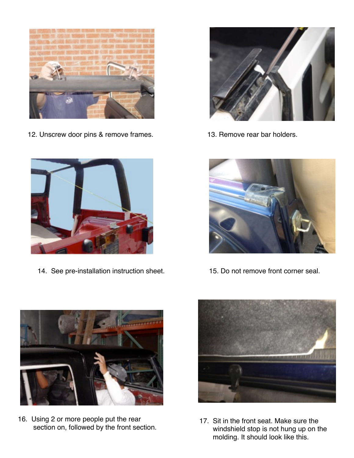

12. Unscrew door pins & remove frames. 13. Remove rear bar holders.



14. See pre-installation instruction sheet. 15. Do not remove front corner seal.







16. Using 2 or more people put the rear section on, followed by the front section.



17. Sit in the front seat. Make sure the windshield stop is not hung up on the molding. It should look like this.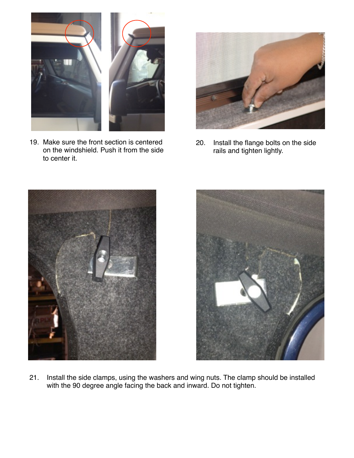

19. Make sure the front section is centered on the windshield. Push it from the side to center it.



20. Install the flange bolts on the side rails and tighten lightly.





21. Install the side clamps, using the washers and wing nuts. The clamp should be installed with the 90 degree angle facing the back and inward. Do not tighten.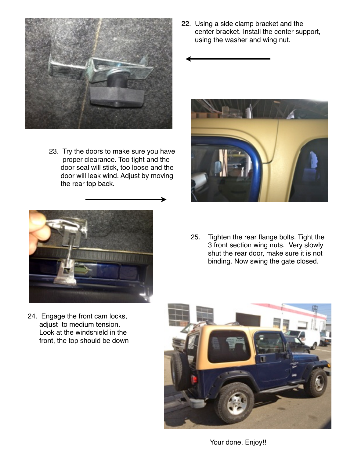

23. Try the doors to make sure you have proper clearance. Too tight and the door seal will stick, too loose and the door will leak wind. Adjust by moving the rear top back.



24. Engage the front cam locks, adjust to medium tension. Look at the windshield in the front, the top should be down 22. Using a side clamp bracket and the center bracket. Install the center support, using the washer and wing nut.



25. Tighten the rear flange bolts. Tight the 3 front section wing nuts. Very slowly shut the rear door, make sure it is not binding. Now swing the gate closed.



Your done. Enjoy!!